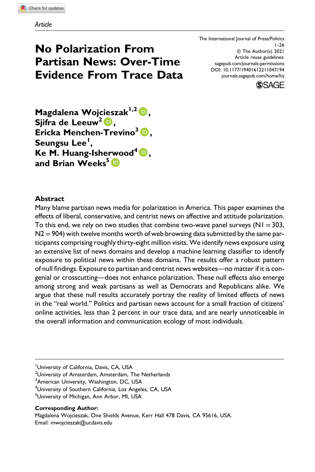# No Polarization From Partisan News: Over-Time Evidence From Trace Data

The International Journal of Press/Politics  $1 - 26$ © The Author(s) 2021 Article reuse guidelines: sagepub.com/journals-permissions DOI: 10.1177/19401612211047194 journals.sagepub.com/home/hij



Magdalena Wojcieszak<sup>1,2</sup> D, Sjifra de Leeuw<sup>2</sup> D, Ericka Menchen-Trevino<sup>3</sup> D, Seungsu Lee<sup>l</sup>, Ke M. Huang-Isherwood<sup>4</sup> D, and Brian Weeks<sup>5</sup>

# **Abstract**

Many blame partisan news media for polarization in America. This paper examines the effects of liberal, conservative, and centrist news on affective and attitude polarization. To this end, we rely on two studies that combine two-wave panel surveys ( $NI = 303$ ,  $N2 = 904$ ) with twelve months worth of web browsing data submitted by the same participants comprising roughly thirty-eight million visits. We identify news exposure using an extensive list of news domains and develop a machine learning classifier to identify exposure to political news within these domains. The results offer a robust pattern of null findings. Exposure to partisan and centrist news websites—no matter if it is congenial or crosscutting—does not enhance polarization. These null effects also emerge among strong and weak partisans as well as Democrats and Republicans alike. We argue that these null results accurately portray the reality of limited effects of news in the "real world." Politics and partisan news account for a small fraction of citizens' online activities, less than 2 percent in our trace data, and are nearly unnoticeable in the overall information and communication ecology of most individuals.

<sup>2</sup>University of Amsterdam, Amsterdam, The Netherlands

<sup>3</sup> American University, Washington, DC, USA

<sup>4</sup>University of Southern California, Los Angeles, CA, USA

<sup>5</sup>University of Michigan, Ann Arbor, MI, USA

#### Corresponding Author:

Magdalena Wojcieszak, One Shields Avenue, Kerr Hall 478 Davis, CA 95616, USA. Email: mwojcieszak@ucdavis.edu

<sup>&</sup>lt;sup>1</sup>University of California, Davis, CA, USA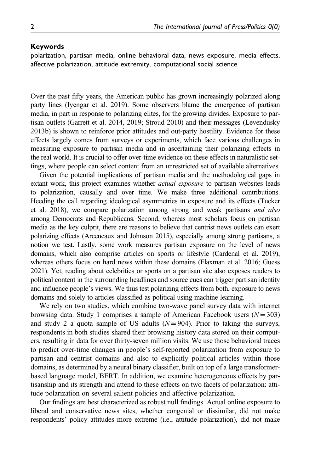#### Keywords

polarization, partisan media, online behavioral data, news exposure, media effects, affective polarization, attitude extremity, computational social science

Over the past fifty years, the American public has grown increasingly polarized along party lines (Iyengar et al. 2019). Some observers blame the emergence of partisan media, in part in response to polarizing elites, for the growing divides. Exposure to partisan outlets (Garrett et al. 2014, 2019; Stroud 2010) and their messages (Levendusky 2013b) is shown to reinforce prior attitudes and out-party hostility. Evidence for these effects largely comes from surveys or experiments, which face various challenges in measuring exposure to partisan media and in ascertaining their polarizing effects in the real world. It is crucial to offer over-time evidence on these effects in naturalistic settings, where people can select content from an unrestricted set of available alternatives.

Given the potential implications of partisan media and the methodological gaps in extant work, this project examines whether *actual exposure* to partisan websites leads to polarization, causally and over time. We make three additional contributions. Heeding the call regarding ideological asymmetries in exposure and its effects (Tucker et al. 2018), we compare polarization among strong and weak partisans *and also* among Democrats and Republicans. Second, whereas most scholars focus on partisan media as the key culprit, there are reasons to believe that centrist news outlets can exert polarizing effects (Arceneaux and Johnson 2015), especially among strong partisans, a notion we test. Lastly, some work measures partisan exposure on the level of news domains, which also comprise articles on sports or lifestyle (Cardenal et al. 2019), whereas others focus on hard news within these domains (Flaxman et al. 2016; Guess 2021). Yet, reading about celebrities or sports on a partisan site also exposes readers to political content in the surrounding headlines and source cues can trigger partisan identity and influence people's views. We thus test polarizing effects from both, exposure to news domains and solely to articles classified as political using machine learning.

We rely on two studies, which combine two-wave panel survey data with internet browsing data. Study 1 comprises a sample of American Facebook users  $(N = 303)$ and study 2 a quota sample of US adults  $(N = 904)$ . Prior to taking the surveys, respondents in both studies shared their browsing history data stored on their computers, resulting in data for over thirty-seven million visits. We use those behavioral traces to predict over-time changes in people's self-reported polarization from exposure to partisan and centrist domains and also to explicitly political articles within those domains, as determined by a neural binary classifier, built on top of a large transformerbased language model, BERT. In addition, we examine heterogeneous effects by partisanship and its strength and attend to these effects on two facets of polarization: attitude polarization on several salient policies and affective polarization.

Our findings are best characterized as robust null findings. Actual online exposure to liberal and conservative news sites, whether congenial or dissimilar, did not make respondents' policy attitudes more extreme (i.e., attitude polarization), did not make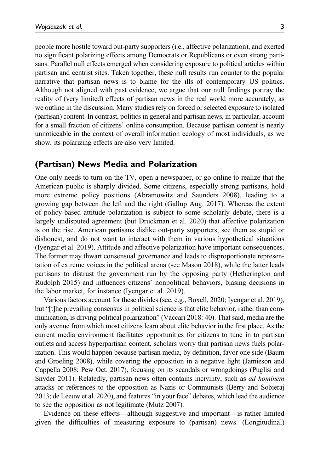people more hostile toward out-party supporters (i.e., affective polarization), and exerted no significant polarizing effects among Democrats or Republicans or even strong partisans. Parallel null effects emerged when considering exposure to political articles within partisan and centrist sites. Taken together, these null results run counter to the popular narrative that partisan news is to blame for the ills of contemporary US politics. Although not aligned with past evidence, we argue that our null findings portray the reality of (very limited) effects of partisan news in the real world more accurately, as we outline in the discussion. Many studies rely on forced or selected exposure to isolated (partisan) content. In contrast, politics in general and partisan news, in particular, account for a small fraction of citizens' online consumption. Because partisan content is nearly unnoticeable in the context of overall information ecology of most individuals, as we show, its polarizing effects are also very limited.

# (Partisan) News Media and Polarization

One only needs to turn on the TV, open a newspaper, or go online to realize that the American public is sharply divided. Some citizens, especially strong partisans, hold more extreme policy positions (Abramowitz and Saunders 2008), leading to a growing gap between the left and the right (Gallup Aug. 2017). Whereas the extent of policy-based attitude polarization is subject to some scholarly debate, there is a largely undisputed agreement (but Druckman et al. 2020) that affective polarization is on the rise. American partisans dislike out-party supporters, see them as stupid or dishonest, and do not want to interact with them in various hypothetical situations (Iyengar et al. 2019). Attitude and affective polarization have important consequences. The former may thwart consensual governance and leads to disproportionate representation of extreme voices in the political arena (see Mason 2018), while the latter leads partisans to distrust the government run by the opposing party (Hetherington and Rudolph 2015) and influences citizens' nonpolitical behaviors, biasing decisions in the labor market, for instance (Iyengar et al. 2019).

Various factors account for these divides (see, e.g., Boxell, 2020; Iyengar et al. 2019), but "[t]he prevailing consensus in political science is that elite behavior, rather than communication, is driving political polarization" (Vaccari 2018: 40). That said, media are the only avenue from which most citizens learn about elite behavior in the first place. As the current media environment facilitates opportunities for citizens to tune in to partisan outlets and access hyperpartisan content, scholars worry that partisan news fuels polarization. This would happen because partisan media, by definition, favor one side (Baum and Groeling 2008), while covering the opposition in a negative light (Jamieson and Cappella 2008; Pew Oct. 2017), focusing on its scandals or wrongdoings (Puglisi and Snyder 2011). Relatedly, partisan news often contains incivility, such as *ad hominem* attacks or references to the opposition as Nazis or Communists (Berry and Sobieraj 2013; de Leeuw et al. 2020), and features "in your face" debates, which lead the audience to see the opposition as not legitimate (Mutz 2007).

Evidence on these effects—although suggestive and important—is rather limited given the difficulties of measuring exposure to (partisan) news. (Longitudinal)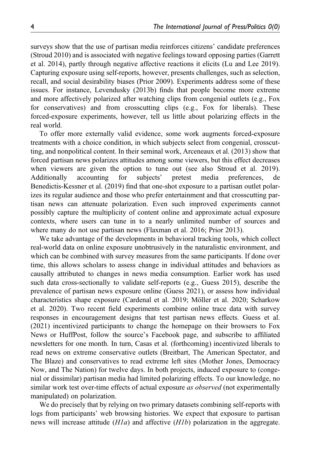surveys show that the use of partisan media reinforces citizens' candidate preferences (Stroud 2010) and is associated with negative feelings toward opposing parties (Garrett et al. 2014), partly through negative affective reactions it elicits (Lu and Lee 2019). Capturing exposure using self-reports, however, presents challenges, such as selection, recall, and social desirability biases (Prior 2009). Experiments address some of these issues. For instance, Levendusky (2013b) finds that people become more extreme and more affectively polarized after watching clips from congenial outlets (e.g., Fox for conservatives) and from crosscutting clips (e.g., Fox for liberals). These forced-exposure experiments, however, tell us little about polarizing effects in the real world.

To offer more externally valid evidence, some work augments forced-exposure treatments with a choice condition, in which subjects select from congenial, crosscutting, and nonpolitical content. In their seminal work, Arceneaux et al. (2013) show that forced partisan news polarizes attitudes among some viewers, but this effect decreases when viewers are given the option to tune out (see also Stroud et al. 2019). Additionally accounting for subjects' pretest media preferences, de Benedictis-Kessner et al. (2019) find that one-shot exposure to a partisan outlet polarizes its regular audience and those who prefer entertainment and that crosscutting partisan news can attenuate polarization. Even such improved experiments cannot possibly capture the multiplicity of content online and approximate actual exposure contexts, where users can tune in to a nearly unlimited number of sources and where many do not use partisan news (Flaxman et al. 2016; Prior 2013).

We take advantage of the developments in behavioral tracking tools, which collect real-world data on online exposure unobtrusively in the naturalistic environment, and which can be combined with survey measures from the same participants. If done over time, this allows scholars to assess change in individual attitudes and behaviors as causally attributed to changes in news media consumption. Earlier work has used such data cross-sectionally to validate self-reports (e.g., Guess 2015), describe the prevalence of partisan news exposure online (Guess 2021), or assess how individual characteristics shape exposure (Cardenal et al. 2019; Möller et al. 2020; Scharkow et al. 2020). Two recent field experiments combine online trace data with survey responses in encouragement designs that test partisan news effects. Guess et al. (2021) incentivized participants to change the homepage on their browsers to Fox News or HuffPost, follow the source's Facebook page, and subscribe to affiliated newsletters for one month. In turn, Casas et al. (forthcoming) incentivized liberals to read news on extreme conservative outlets (Breitbart, The American Spectator, and The Blaze) and conservatives to read extreme left sites (Mother Jones, Democracy Now, and The Nation) for twelve days. In both projects, induced exposure to (congenial or dissimilar) partisan media had limited polarizing effects. To our knowledge, no similar work test over-time effects of actual exposure *as observed* (not experimentally manipulated) on polarization.

We do precisely that by relying on two primary datasets combining self-reports with logs from participants' web browsing histories. We expect that exposure to partisan news will increase attitude (*H1a*) and affective (*H1b*) polarization in the aggregate.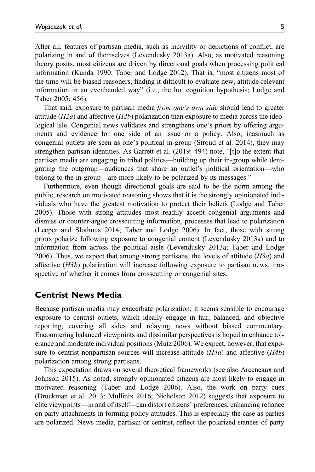After all, features of partisan media, such as incivility or depictions of conflict, are polarizing in and of themselves (Levendusky 2013a). Also, as motivated reasoning theory posits, most citizens are driven by directional goals when processing political information (Kunda 1990; Taber and Lodge 2012). That is, "most citizens most of the time will be biased reasoners, finding it difficult to evaluate new, attitude-relevant information in an evenhanded way" (i.e., the hot cognition hypothesis; Lodge and Taber 2005: 456).

That said, exposure to partisan media *from one*'*s own side* should lead to greater attitude (*H2a*) and affective (*H2b*) polarization than exposure to media across the ideological isle. Congenial news validates and strengthens one's priors by offering arguments and evidence for one side of an issue or a policy. Also, inasmuch as congenial outlets are seen as one's political in-group (Stroud et al. 2014), they may strengthen partisan identities. As Garrett et al. (2019: 494) note, "[t]o the extent that partisan media are engaging in tribal politics—building up their in-group while denigrating the outgroup—audiences that share an outlet's political orientation—who belong to the in-group—are more likely to be polarized by its messages."

Furthermore, even though directional goals are said to be the norm among the public, research on motivated reasoning shows that it is the strongly opinionated individuals who have the greatest motivation to protect their beliefs (Lodge and Taber 2005). Those with strong attitudes most readily accept congenial arguments and dismiss or counter-argue crosscutting information, processes that lead to polarization (Leeper and Slothuus 2014; Taber and Lodge 2006). In fact, those with strong priors polarize following exposure to congenial content (Levendusky 2013a) and to information from across the political aisle (Levendusky 2013a; Taber and Lodge 2006). Thus, we expect that among strong partisans, the levels of attitude (*H3a*) and affective (*H3b*) polarization will increase following exposure to partisan news, irrespective of whether it comes from crosscutting or congenial sites.

# Centrist News Media

Because partisan media may exacerbate polarization, it seems sensible to encourage exposure to centrist outlets, which ideally engage in fair, balanced, and objective reporting, covering all sides and relaying news without biased commentary. Encountering balanced viewpoints and dissimilar perspectives is hoped to enhance tolerance and moderate individual positions (Mutz 2006). We expect, however, that exposure to centrist nonpartisan sources will increase attitude (*H4a*) and affective (*H4b*) polarization among strong partisans.

This expectation draws on several theoretical frameworks (see also Arceneaux and Johnson 2015). As noted, strongly opinionated citizens are most likely to engage in motivated reasoning (Taber and Lodge 2006). Also, the work on party cues (Druckman et al. 2013; Mullinix 2016; Nicholson 2012) suggests that exposure to elite viewpoints—in and of itself—can distort citizens' preferences, enhancing reliance on party attachments in forming policy attitudes. This is especially the case as parties are polarized. News media, partisan or centrist, reflect the polarized stances of party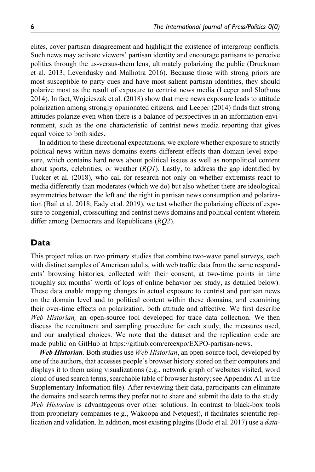elites, cover partisan disagreement and highlight the existence of intergroup conflicts. Such news may activate viewers' partisan identity and encourage partisans to perceive politics through the us-versus-them lens, ultimately polarizing the public (Druckman et al. 2013; Levendusky and Malhotra 2016). Because those with strong priors are most susceptible to party cues and have most salient partisan identities, they should polarize most as the result of exposure to centrist news media (Leeper and Slothuus 2014). In fact, Wojcieszak et al. (2018) show that mere news exposure leads to attitude polarization among strongly opinionated citizens, and Leeper (2014) finds that strong attitudes polarize even when there is a balance of perspectives in an information environment, such as the one characteristic of centrist news media reporting that gives equal voice to both sides.

In addition to these directional expectations, we explore whether exposure to strictly political news within news domains exerts different effects than domain-level exposure, which contains hard news about political issues as well as nonpolitical content about sports, celebrities, or weather (*RQ1*). Lastly, to address the gap identified by Tucker et al. (2018), who call for research not only on whether extremists react to media differently than moderates (which we do) but also whether there are ideological asymmetries between the left and the right in partisan news consumption and polarization (Bail et al. 2018; Eady et al. 2019), we test whether the polarizing effects of exposure to congenial, crosscutting and centrist news domains and political content wherein differ among Democrats and Republicans (*RQ2*).

# Data

This project relies on two primary studies that combine two-wave panel surveys, each with distinct samples of American adults, with web traffic data from the same respondents' browsing histories, collected with their consent, at two-time points in time (roughly six months' worth of logs of online behavior per study, as detailed below). These data enable mapping changes in actual exposure to centrist and partisan news on the domain level and to political content within these domains, and examining their over-time effects on polarization, both attitude and affective. We first describe *Web Historian,* an open-source tool developed for trace data collection. We then discuss the recruitment and sampling procedure for each study, the measures used, and our analytical choices. We note that the dataset and the replication code are made public on GitHub at https://github.com/ercexpo/EXPO-partisan-news.

Web Historian. Both studies use *Web Historian*, an open-source tool, developed by one of the authors, that accesses people's browser history stored on their computers and displays it to them using visualizations (e.g., network graph of websites visited, word cloud of used search terms, searchable table of browser history; see Appendix A1 in the Supplementary Information file). After reviewing their data, participants can eliminate the domains and search terms they prefer not to share and submit the data to the study. *Web Historian* is advantageous over other solutions. In contrast to black-box tools from proprietary companies (e.g., Wakoopa and Netquest), it facilitates scientific replication and validation. In addition, most existing plugins (Bodo et al. 2017) use a *data-*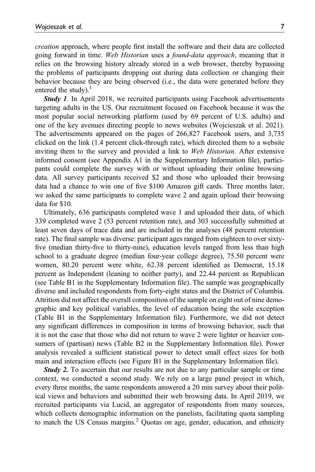*creation* approach, where people first install the software and their data are collected going forward in time. *Web Historian* uses a *found-data approach*, meaning that it relies on the browsing history already stored in a web browser, thereby bypassing the problems of participants dropping out during data collection or changing their behavior because they are being observed (i.e., the data were generated before they entered the study). $<sup>1</sup>$ </sup>

**Study 1.** In April 2018, we recruited participants using Facebook advertisements targeting adults in the US. Our recruitment focused on Facebook because it was the most popular social networking platform (used by 69 percent of U.S. adults) and one of the key avenues directing people to news websites (Wojcieszak et al. 2021). The advertisements appeared on the pages of 266,827 Facebook users, and 3,735 clicked on the link (1.4 percent click-through rate), which directed them to a website inviting them to the survey and provided a link to *Web Historian*. After extensive informed consent (see Appendix A1 in the Supplementary Information file), participants could complete the survey with or without uploading their online browsing data. All survey participants received \$2 and those who uploaded their browsing data had a chance to win one of five \$100 Amazon gift cards. Three months later, we asked the same participants to complete wave 2 and again upload their browsing data for \$10.

Ultimately, 636 participants completed wave 1 and uploaded their data, of which 339 completed wave 2 (53 percent retention rate), and 303 successfully submitted at least seven days of trace data and are included in the analyses (48 percent retention rate). The final sample was diverse: participant ages ranged from eighteen to over sixtyfive (median thirty-five to thirty-nine), education levels ranged from less than high school to a graduate degree (median four-year college degree), 75.50 percent were women, 80.20 percent were white, 62.38 percent identified as Democrat, 15.18 percent as Independent (leaning to neither party), and 22.44 percent as Republican (see Table B1 in the Supplementary Information file). The sample was geographically diverse and included respondents from forty-eight states and the District of Columbia. Attrition did not affect the overall composition of the sample on eight out of nine demographic and key political variables, the level of education being the sole exception (Table B1 in the Supplementary Information file). Furthermore, we did not detect any significant differences in composition in terms of browsing behavior, such that it is not the case that those who did not return to wave 2 were lighter or heavier consumers of (partisan) news (Table B2 in the Supplementary Information file). Power analysis revealed a sufficient statistical power to detect small effect sizes for both main and interaction effects (see Figure B1 in the Supplementary Information file).

**Study 2.** To ascertain that our results are not due to any particular sample or time context, we conducted a second study. We rely on a large panel project in which, every three months, the same respondents answered a 20 min survey about their political views and behaviors and submitted their web browsing data. In April 2019, we recruited participants via Lucid, an aggregator of respondents from many sources, which collects demographic information on the panelists, facilitating quota sampling to match the US Census margins.<sup>2</sup> Quotas on age, gender, education, and ethnicity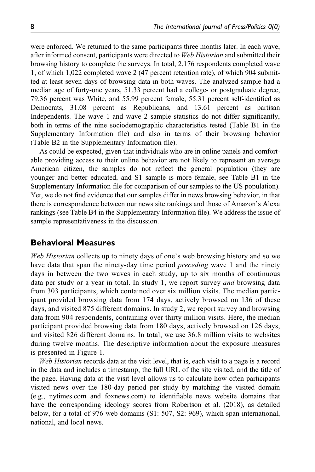were enforced. We returned to the same participants three months later. In each wave, after informed consent, participants were directed to *Web Historian* and submitted their browsing history to complete the surveys. In total, 2,176 respondents completed wave 1, of which 1,022 completed wave 2 (47 percent retention rate), of which 904 submitted at least seven days of browsing data in both waves. The analyzed sample had a median age of forty-one years, 51.33 percent had a college- or postgraduate degree, 79.36 percent was White, and 55.99 percent female, 55.31 percent self-identified as Democrats, 31.08 percent as Republicans, and 13.61 percent as partisan Independents. The wave 1 and wave 2 sample statistics do not differ significantly, both in terms of the nine sociodemographic characteristics tested (Table B1 in the Supplementary Information file) and also in terms of their browsing behavior (Table B2 in the Supplementary Information file).

As could be expected, given that individuals who are in online panels and comfortable providing access to their online behavior are not likely to represent an average American citizen, the samples do not reflect the general population (they are younger and better educated, and S1 sample is more female, see Table B1 in the Supplementary Information file for comparison of our samples to the US population). Yet, we do not find evidence that our samples differ in news browsing behavior, in that there is correspondence between our news site rankings and those of Amazon's Alexa rankings (see Table B4 in the Supplementary Information file). We address the issue of sample representativeness in the discussion.

# Behavioral Measures

*Web Historian* collects up to ninety days of one's web browsing history and so we have data that span the ninety-day time period *preceding* wave 1 and the ninety days in between the two waves in each study, up to six months of continuous data per study or a year in total. In study 1, we report survey *and* browsing data from 303 participants, which contained over six million visits. The median participant provided browsing data from 174 days, actively browsed on 136 of these days, and visited 875 different domains. In study 2, we report survey and browsing data from 904 respondents, containing over thirty million visits. Here, the median participant provided browsing data from 180 days, actively browsed on 126 days, and visited 826 different domains. In total, we use 36.8 million visits to websites during twelve months. The descriptive information about the exposure measures is presented in Figure 1.

*Web Historian* records data at the visit level, that is, each visit to a page is a record in the data and includes a timestamp, the full URL of the site visited, and the title of the page. Having data at the visit level allows us to calculate how often participants visited news over the 180-day period per study by matching the visited domain (e.g., nytimes.com and foxnews.com) to identifiable news website domains that have the corresponding ideology scores from Robertson et al. (2018), as detailed below, for a total of 976 web domains (S1: 507, S2: 969), which span international, national, and local news.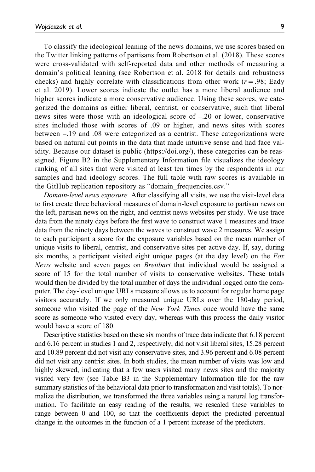To classify the ideological leaning of the news domains, we use scores based on the Twitter linking patterns of partisans from Robertson et al. (2018). These scores were cross-validated with self-reported data and other methods of measuring a domain's political leaning (see Robertson et al. 2018 for details and robustness checks) and highly correlate with classifications from other work  $(r = .98;$  Eady et al. 2019). Lower scores indicate the outlet has a more liberal audience and higher scores indicate a more conservative audience. Using these scores, we categorized the domains as either liberal, centrist, or conservative, such that liberal news sites were those with an ideological score of –.20 or lower, conservative sites included those with scores of .09 or higher, and news sites with scores between –.19 and .08 were categorized as a centrist. These categorizations were based on natural cut points in the data that made intuitive sense and had face validity. Because our dataset is public (https://doi.org/), these categories can be reassigned. Figure B2 in the Supplementary Information file visualizes the ideology ranking of all sites that were visited at least ten times by the respondents in our samples and had ideology scores. The full table with raw scores is available in the GitHub replication repository as "domain\_frequencies.csv."

*Domain-level news exposure.* After classifying all visits, we use the visit-level data to first create three behavioral measures of domain-level exposure to partisan news on the left, partisan news on the right, and centrist news websites per study. We use trace data from the ninety days before the first wave to construct wave 1 measures and trace data from the ninety days between the waves to construct wave 2 measures. We assign to each participant a score for the exposure variables based on the mean number of unique visits to liberal, centrist, and conservative sites per active day. If, say, during six months, a participant visited eight unique pages (at the day level) on the *Fox News* website and seven pages on *Breitbart* that individual would be assigned a score of 15 for the total number of visits to conservative websites. These totals would then be divided by the total number of days the individual logged onto the computer. The day-level unique URLs measure allows us to account for regular home page visitors accurately. If we only measured unique URLs over the 180-day period, someone who visited the page of the *New York Times* once would have the same score as someone who visited every day, whereas with this process the daily visitor would have a score of 180.

Descriptive statistics based on these six months of trace data indicate that 6.18 percent and 6.16 percent in studies 1 and 2, respectively, did not visit liberal sites, 15.28 percent and 10.89 percent did not visit any conservative sites, and 3.96 percent and 6.08 percent did not visit any centrist sites. In both studies, the mean number of visits was low and highly skewed, indicating that a few users visited many news sites and the majority visited very few (see Table B3 in the Supplementary Information file for the raw summary statistics of the behavioral data prior to transformation and visit totals). To normalize the distribution, we transformed the three variables using a natural log transformation. To facilitate an easy reading of the results, we rescaled these variables to range between 0 and 100, so that the coefficients depict the predicted percentual change in the outcomes in the function of a 1 percent increase of the predictors.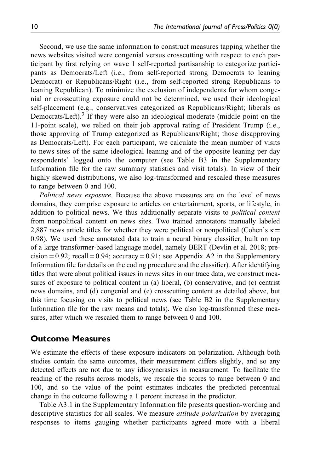Second, we use the same information to construct measures tapping whether the news websites visited were congenial versus crosscutting with respect to each participant by first relying on wave 1 self-reported partisanship to categorize participants as Democrats/Left (i.e., from self-reported strong Democrats to leaning Democrat) or Republicans/Right (i.e., from self-reported strong Republicans to leaning Republican). To minimize the exclusion of independents for whom congenial or crosscutting exposure could not be determined, we used their ideological self-placement (e.g., conservatives categorized as Republicans/Right; liberals as Democrats/Left).<sup>3</sup> If they were also an ideological moderate (middle point on the 11-point scale), we relied on their job approval rating of President Trump (i.e., those approving of Trump categorized as Republicans/Right; those disapproving as Democrats/Left). For each participant, we calculate the mean number of visits to news sites of the same ideological leaning and of the opposite leaning per day respondents' logged onto the computer (see Table B3 in the Supplementary Information file for the raw summary statistics and visit totals). In view of their highly skewed distributions, we also log-transformed and rescaled these measures to range between 0 and 100.

*Political news exposure*. Because the above measures are on the level of news domains, they comprise exposure to articles on entertainment, sports, or lifestyle, in addition to political news. We thus additionally separate visits to *political content* from nonpolitical content on news sites. Two trained annotators manually labeled 2,887 news article titles for whether they were political or nonpolitical (Cohen's  $\kappa$  = 0.98). We used these annotated data to train a neural binary classifier, built on top of a large transformer-based language model, namely BERT (Devlin et al. 2018; pre $cision = 0.92$ ; recall = 0.94; accuracy = 0.91; see Appendix A2 in the Supplementary Information file for details on the coding procedure and the classifier). After identifying titles that were about political issues in news sites in our trace data, we construct measures of exposure to political content in (a) liberal, (b) conservative, and (c) centrist news domains, and (d) congenial and (e) crosscutting content as detailed above, but this time focusing on visits to political news (see Table B2 in the Supplementary Information file for the raw means and totals). We also log-transformed these measures, after which we rescaled them to range between 0 and 100.

# Outcome Measures

We estimate the effects of these exposure indicators on polarization. Although both studies contain the same outcomes, their measurement differs slightly, and so any detected effects are not due to any idiosyncrasies in measurement. To facilitate the reading of the results across models, we rescale the scores to range between 0 and 100, and so the value of the point estimates indicates the predicted percentual change in the outcome following a 1 percent increase in the predictor.

Table A3.1 in the Supplementary Information file presents question-wording and descriptive statistics for all scales. We measure *attitude polarization* by averaging responses to items gauging whether participants agreed more with a liberal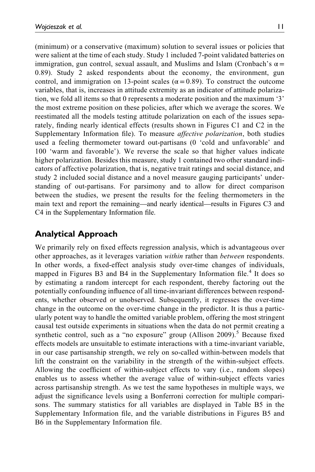(minimum) or a conservative (maximum) solution to several issues or policies that were salient at the time of each study. Study 1 included 7-point validated batteries on immigration, gun control, sexual assault, and Muslims and Islam (Cronbach's  $\alpha$  = 0.89). Study 2 asked respondents about the economy, the environment, gun control, and immigration on 13-point scales ( $\alpha$  = 0.89). To construct the outcome variables, that is, increases in attitude extremity as an indicator of attitude polarization, we fold all items so that 0 represents a moderate position and the maximum '3' the most extreme position on these policies, after which we average the scores. We reestimated all the models testing attitude polarization on each of the issues separately, finding nearly identical effects (results shown in Figures C1 and C2 in the Supplementary Information file). To measure *affective polarization*, both studies used a feeling thermometer toward out-partisans (0 'cold and unfavorable' and 100 'warm and favorable'). We reverse the scale so that higher values indicate higher polarization. Besides this measure, study 1 contained two other standard indicators of affective polarization, that is, negative trait ratings and social distance, and study 2 included social distance and a novel measure gauging participants' understanding of out-partisans. For parsimony and to allow for direct comparison between the studies, we present the results for the feeling thermometers in the main text and report the remaining—and nearly identical—results in Figures C3 and C4 in the Supplementary Information file.

# Analytical Approach

We primarily rely on fixed effects regression analysis, which is advantageous over other approaches, as it leverages variation *within* rather than *between* respondents. In other words, a fixed-effect analysis study over-time changes of individuals, mapped in Figures B3 and B4 in the Supplementary Information file.<sup>4</sup> It does so by estimating a random intercept for each respondent, thereby factoring out the potentially confounding influence of all time-invariant differences between respondents, whether observed or unobserved. Subsequently, it regresses the over-time change in the outcome on the over-time change in the predictor. It is thus a particularly potent way to handle the omitted variable problem, offering the most stringent causal test outside experiments in situations when the data do not permit creating a synthetic control, such as a "no exposure" group (Allison 2009).<sup>5</sup> Because fixed effects models are unsuitable to estimate interactions with a time-invariant variable, in our case partisanship strength, we rely on so-called within-between models that lift the constraint on the variability in the strength of the within-subject effects. Allowing the coefficient of within-subject effects to vary (i.e., random slopes) enables us to assess whether the average value of within-subject effects varies across partisanship strength. As we test the same hypotheses in multiple ways, we adjust the significance levels using a Bonferroni correction for multiple comparisons. The summary statistics for all variables are displayed in Table B5 in the Supplementary Information file, and the variable distributions in Figures B5 and B6 in the Supplementary Information file.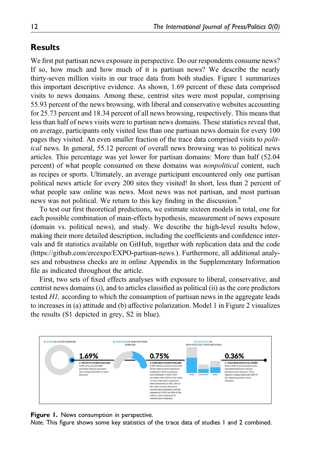# Results

We first put partisan news exposure in perspective. Do our respondents consume news? If so, how much and how much of it is partisan news? We describe the nearly thirty-seven million visits in our trace data from both studies. Figure 1 summarizes this important descriptive evidence. As shown, 1.69 percent of these data comprised visits to news domains. Among these, centrist sites were most popular, comprising 55.93 percent of the news browsing, with liberal and conservative websites accounting for 25.73 percent and 18.34 percent of all news browsing, respectively. This means that less than half of news visits were to partisan news domains. These statistics reveal that, on average, participants only visited less than one partisan news domain for every 100 pages they visited. An even smaller fraction of the trace data comprised visits to *political* news. In general, 55.12 percent of overall news browsing was to political news articles. This percentage was yet lower for partisan domains: More than half (52.04 percent) of what people consumed on these domains was *nonpolitical* content, such as recipes or sports. Ultimately, an average participant encountered only one partisan political news article for every 200 sites they visited! In short, less than 2 percent of what people saw online was news. Most news was not partisan, and most partisan news was not political. We return to this key finding in the discussion.<sup>6</sup>

To test our first theoretical predictions, we estimate sixteen models in total, one for each possible combination of main-effects hypothesis, measurement of news exposure (domain vs. political news), and study. We describe the high-level results below, making their more detailed description, including the coefficients and confidence intervals and fit statistics available on GitHub, together with replication data and the code (https://github.com/ercexpo/EXPO-partisan-news.). Furthermore, all additional analyses and robustness checks are in online Appendix in the Supplementary Information file as indicated throughout the article.

First, two sets of fixed effects analyses with exposure to liberal, conservative, and centrist news domains (i), and to articles classified as political (ii) as the core predictors tested *H1,* according to which the consumption of partisan news in the aggregate leads to increases in (a) attitude and (b) affective polarization. Model 1 in Figure 2 visualizes the results (S1 depicted in grey, S2 in blue).



#### Figure 1. News consumption in perspective.

Note. This figure shows some key statistics of the trace data of studies 1 and 2 combined.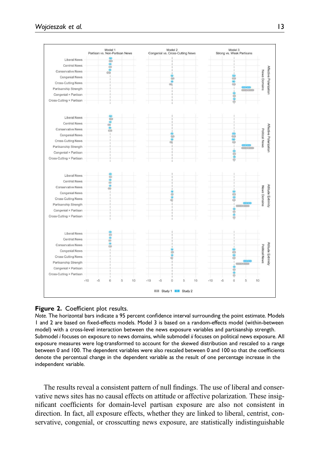

#### Figure 2. Coefficient plot results.

Note. The horizontal bars indicate a 95 percent confidence interval surrounding the point estimate. Models 1 and 2 are based on fixed-effects models. Model 3 is based on a random-effects model (within-between model) with a cross-level interaction between the news exposure variables and partisanship strength. Submodel i focuses on exposure to news domains, while submodel ii focuses on political news exposure. All exposure measures were log-transformed to account for the skewed distribution and rescaled to a range between 0 and 100. The dependent variables were also rescaled between 0 and 100 so that the coefficients denote the percentual change in the dependent variable as the result of one percentage increase in the independent variable.

The results reveal a consistent pattern of null findings. The use of liberal and conservative news sites has no causal effects on attitude or affective polarization. These insignificant coefficients for domain-level partisan exposure are also not consistent in direction. In fact, all exposure effects, whether they are linked to liberal, centrist, conservative, congenial, or crosscutting news exposure, are statistically indistinguishable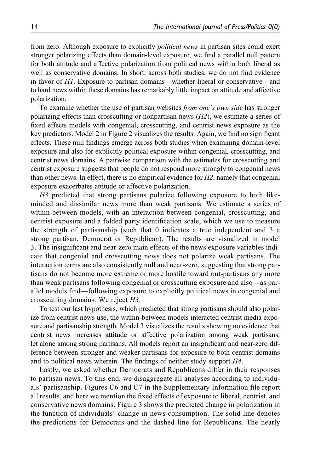from zero. Although exposure to explicitly *political news* in partisan sites could exert stronger polarizing effects than domain-level exposure, we find a parallel null pattern for both attitude and affective polarization from political news within both liberal as well as conservative domains. In short, across both studies, we do not find evidence in favor of *H1*. Exposure to partisan domains—whether liberal or conservative—and to hard news within these domains has remarkably little impact on attitude and affective polarization.

To examine whether the use of partisan websites *from one*'*s own side* has stronger polarizing effects than crosscutting or nonpartisan news (*H2*), we estimate a series of fixed effects models with congenial, crosscutting, and centrist news exposure as the key predictors. Model 2 in Figure 2 visualizes the results. Again, we find no significant effects. These null findings emerge across both studies when examining domain-level exposure and also for explicitly political exposure within congenial, crosscutting, and centrist news domains. A pairwise comparison with the estimates for crosscutting and centrist exposure suggests that people do not respond more strongly to congenial news than other news. In effect, there is no empirical evidence for *H2*, namely that congenial exposure exacerbates attitude or affective polarization.

*H3* predicted that strong partisans polarize following exposure to both likeminded and dissimilar news more than weak partisans. We estimate a series of within-between models, with an interaction between congenial, crosscutting, and centrist exposure and a folded party identification scale, which we use to measure the strength of partisanship (such that 0 indicates a true independent and 3 a strong partisan, Democrat or Republican). The results are visualized in model 3. The insignificant and near-zero main effects of the news exposure variables indicate that congenial and crosscutting news does not polarize weak partisans. The interaction terms are also consistently null and near-zero, suggesting that strong partisans do not become more extreme or more hostile toward out-partisans any more than weak partisans following congenial or crosscutting exposure and also—as parallel models find—following exposure to explicitly political news in congenial and crosscutting domains. We reject *H3*.

To test our last hypothesis, which predicted that strong partisans should also polarize from centrist news use, the within-between models interacted centrist media exposure and partisanship strength. Model 3 visualizes the results showing no evidence that centrist news increases attitude or affective polarization among weak partisans, let alone among strong partisans. All models report an insignificant and near-zero difference between stronger and weaker partisans for exposure to both centrist domains and to political news wherein. The findings of neither study support *H4*.

Lastly, we asked whether Democrats and Republicans differ in their responses to partisan news. To this end, we disaggregate all analyses according to individuals' partisanship. Figures C6 and C7 in the Supplementary Information file report all results, and here we mention the fixed effects of exposure to liberal, centrist, and conservative news domains. Figure 3 shows the predicted change in polarization in the function of individuals' change in news consumption. The solid line denotes the predictions for Democrats and the dashed line for Republicans. The nearly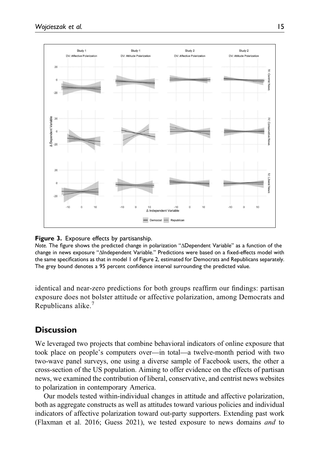

#### **Figure 3.** Exposure effects by partisanship.

Note. The figure shows the predicted change in polarization "ΔDependent Variable" as a function of the change in news exposure "ΔIndependent Variable." Predictions were based on a fixed-effects model with the same specifications as that in model 1 of Figure 2, estimated for Democrats and Republicans separately. The grey bound denotes a 95 percent confidence interval surrounding the predicted value.

identical and near-zero predictions for both groups reaffirm our findings: partisan exposure does not bolster attitude or affective polarization, among Democrats and Republicans alike.<sup>7</sup>

# **Discussion**

We leveraged two projects that combine behavioral indicators of online exposure that took place on people's computers over—in total—a twelve-month period with two two-wave panel surveys, one using a diverse sample of Facebook users, the other a cross-section of the US population. Aiming to offer evidence on the effects of partisan news, we examined the contribution of liberal, conservative, and centrist news websites to polarization in contemporary America.

Our models tested within-individual changes in attitude and affective polarization, both as aggregate constructs as well as attitudes toward various policies and individual indicators of affective polarization toward out-party supporters. Extending past work (Flaxman et al. 2016; Guess 2021), we tested exposure to news domains *and* to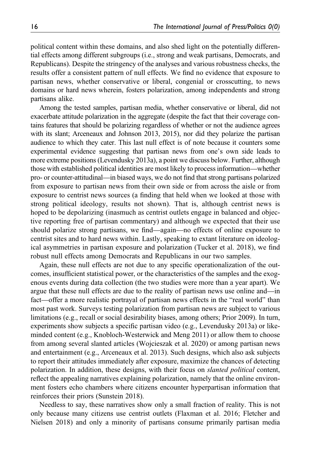political content within these domains, and also shed light on the potentially differential effects among different subgroups (i.e., strong and weak partisans, Democrats, and Republicans). Despite the stringency of the analyses and various robustness checks, the results offer a consistent pattern of null effects. We find no evidence that exposure to partisan news, whether conservative or liberal, congenial or crosscutting, to news domains or hard news wherein, fosters polarization, among independents and strong partisans alike.

Among the tested samples, partisan media, whether conservative or liberal, did not exacerbate attitude polarization in the aggregate (despite the fact that their coverage contains features that should be polarizing regardless of whether or not the audience agrees with its slant; Arceneaux and Johnson 2013, 2015), nor did they polarize the partisan audience to which they cater. This last null effect is of note because it counters some experimental evidence suggesting that partisan news from one's own side leads to more extreme positions (Levendusky 2013a), a point we discuss below. Further, although those with established political identities are most likely to process information—whether pro- or counter-attitudinal—in biased ways, we do not find that strong partisans polarized from exposure to partisan news from their own side or from across the aisle or from exposure to centrist news sources (a finding that held when we looked at those with strong political ideology, results not shown). That is, although centrist news is hoped to be depolarizing (inasmuch as centrist outlets engage in balanced and objective reporting free of partisan commentary) and although we expected that their use should polarize strong partisans, we find—again—no effects of online exposure to centrist sites and to hard news within. Lastly, speaking to extant literature on ideological asymmetries in partisan exposure and polarization (Tucker et al. 2018), we find robust null effects among Democrats and Republicans in our two samples.

Again, these null effects are not due to any specific operationalization of the outcomes, insufficient statistical power, or the characteristics of the samples and the exogenous events during data collection (the two studies were more than a year apart). We argue that these null effects are due to the reality of partisan news use online and—in fact—offer a more realistic portrayal of partisan news effects in the "real world" than most past work. Surveys testing polarization from partisan news are subject to various limitations (e.g., recall or social desirability biases, among others; Prior 2009). In turn, experiments show subjects a specific partisan video (e.g., Levendusky 2013a) or likeminded content (e.g., Knobloch-Westerwick and Meng 2011) or allow them to choose from among several slanted articles (Wojcieszak et al. 2020) or among partisan news and entertainment (e.g., Arceneaux et al. 2013). Such designs, which also ask subjects to report their attitudes immediately after exposure, maximize the chances of detecting polarization. In addition, these designs, with their focus on *slanted political* content, reflect the appealing narratives explaining polarization, namely that the online environment fosters echo chambers where citizens encounter hyperpartisan information that reinforces their priors (Sunstein 2018).

Needless to say, these narratives show only a small fraction of reality. This is not only because many citizens use centrist outlets (Flaxman et al. 2016; Fletcher and Nielsen 2018) and only a minority of partisans consume primarily partisan media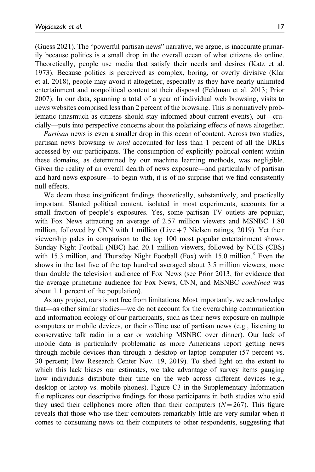(Guess 2021). The "powerful partisan news" narrative, we argue, is inaccurate primarily because politics is a small drop in the overall ocean of what citizens do online. Theoretically, people use media that satisfy their needs and desires (Katz et al. 1973). Because politics is perceived as complex, boring, or overly divisive (Klar et al. 2018), people may avoid it altogether, especially as they have nearly unlimited entertainment and nonpolitical content at their disposal (Feldman et al. 2013; Prior 2007). In our data, spanning a total of a year of individual web browsing, visits to news websites comprised less than 2 percent of the browsing. This is normatively problematic (inasmuch as citizens should stay informed about current events), but—crucially—puts into perspective concerns about the polarizing effects of news altogether.

*Partisan* news is even a smaller drop in this ocean of content. Across two studies, partisan news browsing *in total* accounted for less than 1 percent of all the URLs accessed by our participants. The consumption of explicitly political content within these domains, as determined by our machine learning methods, was negligible. Given the reality of an overall dearth of news exposure—and particularly of partisan and hard news exposure—to begin with, it is of no surprise that we find consistently null effects.

We deem these insignificant findings theoretically, substantively, and practically important. Slanted political content, isolated in most experiments, accounts for a small fraction of people's exposures. Yes, some partisan TV outlets are popular, with Fox News attracting an average of 2.57 million viewers and MSNBC 1.80 million, followed by CNN with 1 million (Live  $+7$  Nielsen ratings, 2019). Yet their viewership pales in comparison to the top 100 most popular entertainment shows. Sunday Night Football (NBC) had 20.1 million viewers, followed by NCIS (CBS) with 15.3 million, and Thursday Night Football (Fox) with 15.0 million.<sup>8</sup> Even the shows in the last five of the top hundred averaged about 3.5 million viewers, more than double the television audience of Fox News (see Prior 2013, for evidence that the average primetime audience for Fox News, CNN, and MSNBC *combined* was about 1.1 percent of the population).

As any project, ours is not free from limitations. Most importantly, we acknowledge that—as other similar studies—we do not account for the overarching communication and information ecology of our participants, such as their news exposure on multiple computers or mobile devices, or their offline use of partisan news (e.g., listening to conservative talk radio in a car or watching MSNBC over dinner). Our lack of mobile data is particularly problematic as more Americans report getting news through mobile devices than through a desktop or laptop computer (57 percent vs. 30 percent; Pew Research Center Nov. 19, 2019). To shed light on the extent to which this lack biases our estimates, we take advantage of survey items gauging how individuals distribute their time on the web across different devices (e.g., desktop or laptop vs. mobile phones). Figure C3 in the Supplementary Information file replicates our descriptive findings for those participants in both studies who said they used their cellphones more often than their computers  $(N=267)$ . This figure reveals that those who use their computers remarkably little are very similar when it comes to consuming news on their computers to other respondents, suggesting that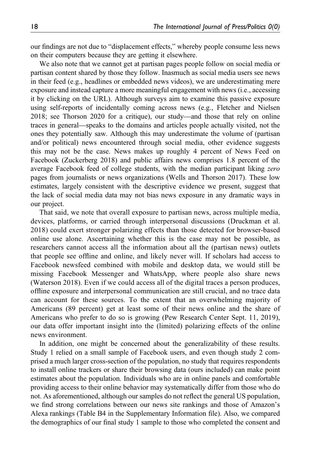our findings are not due to "displacement effects," whereby people consume less news on their computers because they are getting it elsewhere.

We also note that we cannot get at partisan pages people follow on social media or partisan content shared by those they follow. Inasmuch as social media users see news in their feed (e.g., headlines or embedded news videos), we are underestimating mere exposure and instead capture a more meaningful engagement with news (i.e., accessing it by clicking on the URL). Although surveys aim to examine this passive exposure using self-reports of incidentally coming across news (e.g., Fletcher and Nielsen 2018; see Thorson 2020 for a critique), our study—and those that rely on online traces in general—speaks to the domains and articles people actually visited, not the ones they potentially saw. Although this may underestimate the volume of (partisan and/or political) news encountered through social media, other evidence suggests this may not be the case. News makes up roughly 4 percent of News Feed on Facebook (Zuckerberg 2018) and public affairs news comprises 1.8 percent of the average Facebook feed of college students, with the median participant liking *zero* pages from journalists or news organizations (Wells and Thorson 2017). These low estimates, largely consistent with the descriptive evidence we present, suggest that the lack of social media data may not bias news exposure in any dramatic ways in our project.

That said, we note that overall exposure to partisan news, across multiple media, devices, platforms, or carried through interpersonal discussions (Druckman et al. 2018) could exert stronger polarizing effects than those detected for browser-based online use alone. Ascertaining whether this is the case may not be possible, as researchers cannot access all the information about all the (partisan news) outlets that people see offline and online, and likely never will. If scholars had access to Facebook newsfeed combined with mobile and desktop data, we would still be missing Facebook Messenger and WhatsApp, where people also share news (Waterson 2018). Even if we could access all of the digital traces a person produces, offline exposure and interpersonal communication are still crucial, and no trace data can account for these sources. To the extent that an overwhelming majority of Americans (89 percent) get at least some of their news online and the share of Americans who prefer to do so is growing (Pew Research Center Sept. 11, 2019), our data offer important insight into the (limited) polarizing effects of the online news environment.

In addition, one might be concerned about the generalizability of these results. Study 1 relied on a small sample of Facebook users, and even though study 2 comprised a much larger cross-section of the population, no study that requires respondents to install online trackers or share their browsing data (ours included) can make point estimates about the population. Individuals who are in online panels and comfortable providing access to their online behavior may systematically differ from those who do not. As aforementioned, although our samples do not reflect the general US population, we find strong correlations between our news site rankings and those of Amazon's Alexa rankings (Table B4 in the Supplementary Information file). Also, we compared the demographics of our final study 1 sample to those who completed the consent and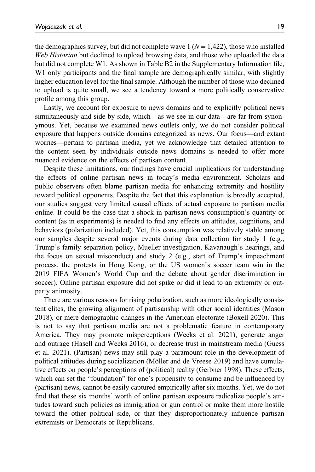the demographics survey, but did not complete wave  $1 (N = 1.422)$ , those who installed *Web Historian* but declined to upload browsing data, and those who uploaded the data but did not complete W1. As shown in Table B2 in the Supplementary Information file, W<sub>1</sub> only participants and the final sample are demographically similar, with slightly higher education level for the final sample. Although the number of those who declined to upload is quite small, we see a tendency toward a more politically conservative profile among this group.

Lastly, we account for exposure to news domains and to explicitly political news simultaneously and side by side, which—as we see in our data—are far from synonymous. Yet, because we examined news outlets only, we do not consider political exposure that happens outside domains categorized as news. Our focus—and extant worries—pertain to partisan media, yet we acknowledge that detailed attention to the content seen by individuals outside news domains is needed to offer more nuanced evidence on the effects of partisan content.

Despite these limitations, our findings have crucial implications for understanding the effects of online partisan news in today's media environment. Scholars and public observers often blame partisan media for enhancing extremity and hostility toward political opponents. Despite the fact that this explanation is broadly accepted, our studies suggest very limited causal effects of actual exposure to partisan media online. It could be the case that a shock in partisan news consumption's quantity or content (as in experiments) is needed to find any effects on attitudes, cognitions, and behaviors (polarization included). Yet, this consumption was relatively stable among our samples despite several major events during data collection for study 1 (e.g., Trump's family separation policy, Mueller investigation, Kavanaugh's hearings, and the focus on sexual misconduct) and study 2 (e.g., start of Trump's impeachment process, the protests in Hong Kong, or the US women's soccer team win in the 2019 FIFA Women's World Cup and the debate about gender discrimination in soccer). Online partisan exposure did not spike or did it lead to an extremity or outparty animosity.

There are various reasons for rising polarization, such as more ideologically consistent elites, the growing alignment of partisanship with other social identities (Mason 2018), or mere demographic changes in the American electorate (Boxell 2020). This is not to say that partisan media are not a problematic feature in contemporary America. They may promote misperceptions (Weeks et al. 2021), generate anger and outrage (Hasell and Weeks 2016), or decrease trust in mainstream media (Guess et al. 2021). (Partisan) news may still play a paramount role in the development of political attitudes during socialization (Möller and de Vreese 2019) and have cumulative effects on people's perceptions of (political) reality (Gerbner 1998). These effects, which can set the "foundation" for one's propensity to consume and be influenced by (partisan) news, cannot be easily captured empirically after six months. Yet, we do not find that these six months' worth of online partisan exposure radicalize people's attitudes toward such policies as immigration or gun control or make them more hostile toward the other political side, or that they disproportionately influence partisan extremists or Democrats or Republicans.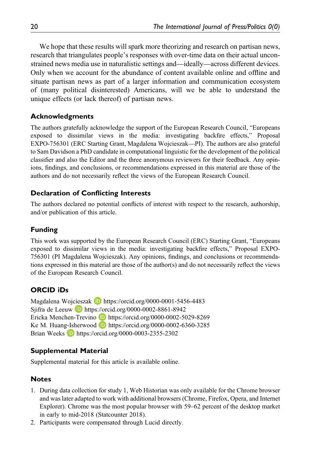We hope that these results will spark more theorizing and research on partisan news, research that triangulates people's responses with over-time data on their actual unconstrained news media use in naturalistic settings and—ideally—across different devices. Only when we account for the abundance of content available online and offline and situate partisan news as part of a larger information and communication ecosystem of (many political disinterested) Americans, will we be able to understand the unique effects (or lack thereof) of partisan news.

# Acknowledgments

The authors gratefully acknowledge the support of the European Research Council, "Europeans exposed to dissimilar views in the media: investigating backfire effects," Proposal EXPO-756301 (ERC Starting Grant, Magdalena Wojcieszak—PI). The authors are also grateful to Sam Davidson a PhD candidate in computational linguistic for the development of the political classifier and also the Editor and the three anonymous reviewers for their feedback. Any opinions, findings, and conclusions, or recommendations expressed in this material are those of the authors and do not necessarily reflect the views of the European Research Council.

# Declaration of Conflicting Interests

The authors declared no potential conflicts of interest with respect to the research, authorship, and/or publication of this article.

# Funding

This work was supported by the European Research Council (ERC) Starting Grant, "Europeans exposed to dissimilar views in the media: investigating backfire effects," Proposal EXPO-756301 (PI Magdalena Wojcieszak). Any opinions, findings, and conclusions or recommendations expressed in this material are those of the author(s) and do not necessarily reflect the views of the European Research Council.

# ORCID iDs

Magdalena Wojcieszak D https://orcid.org/0000-0001-5456-4483 Sjifra de Leeuw **b** https://orcid.org/0000-0002-8861-8942 Ericka Menchen-Trevino D https://orcid.org/0000-0002-5029-8269 Ke M. Huang-Isherwood **D** https://orcid.org/0000-0002-6360-3285 Brian Weeks  $\Box$  https://orcid.org/0000-0003-2355-2302

# Supplemental Material

Supplemental material for this article is available online.

# Notes

- 1. During data collection for study 1, Web Historian was only available for the Chrome browser and was later adapted to work with additional browsers (Chrome, Firefox, Opera, and Internet Explorer). Chrome was the most popular browser with 59–62 percent of the desktop market in early to mid-2018 (Statcounter 2018).
- 2. Participants were compensated through Lucid directly.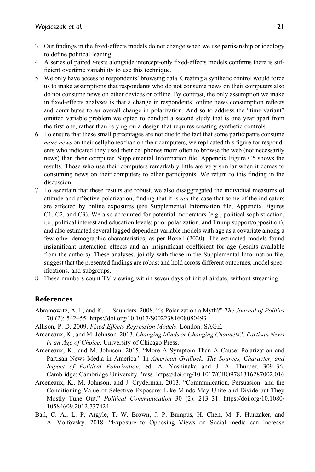- 3. Our findings in the fixed-effects models do not change when we use partisanship or ideology to define political leaning.
- 4. A series of paired *t*-tests alongside intercept-only fixed-effects models confirms there is sufficient overtime variability to use this technique.
- 5. We only have access to respondents' browsing data. Creating a synthetic control would force us to make assumptions that respondents who do not consume news on their computers also do not consume news on other devices or offline. By contrast, the only assumption we make in fixed-effects analyses is that a change in respondents' online news consumption reflects and contributes to an overall change in polarization. And so to address the "time variant" omitted variable problem we opted to conduct a second study that is one year apart from the first one, rather than relying on a design that requires creating synthetic controls.
- 6. To ensure that these small percentages are not due to the fact that some participants consume *more news* on their cellphones than on their computers, we replicated this figure for respondents who indicated they used their cellphones more often to browse the web (not necessarily news) than their computer. Supplemental Information file, Appendix Figure C5 shows the results. Those who use their computers remarkably little are very similar when it comes to consuming news on their computers to other participants. We return to this finding in the discussion.
- 7. To ascertain that these results are robust, we also disaggregated the individual measures of attitude and affective polarization, finding that it is *not* the case that some of the indicators are affected by online exposures (see Supplemental Information file, Appendix Figures C1, C2, and C3). We also accounted for potential moderators (e.g., political sophistication, i.e., political interest and education levels; prior polarization, and Trump support/opposition), and also estimated several lagged dependent variable models with age as a covariate among a few other demographic characteristics; as per Boxell (2020). The estimated models found insignificant interaction effects and an insignificant coefficient for age (results available from the authors). These analyses, jointly with those in the Supplemental Information file, suggest that the presented findings are robust and hold across different outcomes, model specifications, and subgroups.
- 8. These numbers count TV viewing within seven days of initial airdate, without streaming.

#### References

- Abramowitz, A. I., and K. L. Saunders. 2008. "Is Polarization a Myth?" *The Journal of Politics* 70 (2): 542–55. https://doi.org/10.1017/S0022381608080493
- Allison, P. D. 2009. *Fixed Effects Regression Models*. London: SAGE.
- Arceneaux, K., and M. Johnson. 2013. *Changing Minds or Changing Channels?: Partisan News in an Age of Choice*. University of Chicago Press.
- Arceneaux, K., and M. Johnson. 2015. "More A Symptom Than A Cause: Polarization and Partisan News Media in America." In *American Gridlock: The Sources, Character, and Impact of Political Polarization*, ed. A. Yoshinaka and J. A. Thurber, 309–36. Cambridge: Cambridge University Press. https://doi.org/10.1017/CBO9781316287002.016
- Arceneaux, K., M. Johnson, and J. Cryderman. 2013. "Communication, Persuasion, and the Conditioning Value of Selective Exposure: Like Minds May Unite and Divide but They Mostly Tune Out." *Political Communication* 30 (2): 213–31. https://doi.org/10.1080/ 10584609.2012.737424
- Bail, C. A., L. P. Argyle, T. W. Brown, J. P. Bumpus, H. Chen, M. F. Hunzaker, and A. Volfovsky. 2018. "Exposure to Opposing Views on Social media can Increase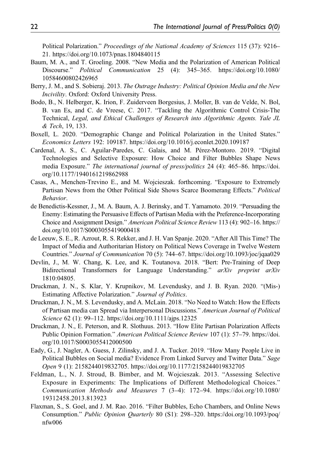Political Polarization." *Proceedings of the National Academy of Sciences* 115 (37): 9216– 21. https://doi.org/10.1073/pnas.1804840115

- Baum, M. A., and T. Groeling. 2008. "New Media and the Polarization of American Political Discourse." *Political Communication* 25 (4): 345–365. https://doi.org/10.1080/ 10584600802426965
- Berry, J. M., and S. Sobieraj. 2013. *The Outrage Industry: Political Opinion Media and the New Incivility*. Oxford: Oxford University Press.
- Bodo, B., N. Helberger, K. Irion, F. Zuiderveen Borgesius, J. Moller, B. van de Velde, N. Bol, B. van Es, and C. de Vreese, C. 2017. "Tackling the Algorithmic Control Crisis-The Technical, *Legal, and Ethical Challenges of Research into Algorithmic Agents. Yale JL & Tech*, 19, 133.
- Boxell, L. 2020. "Demographic Change and Political Polarization in the United States." *Economics Letters* 192: 109187. https://doi.org/10.1016/j.econlet.2020.109187
- Cardenal, A. S., C. Aguilar-Paredes, C. Galais, and M. Pérez-Montoro. 2019. "Digital Technologies and Selective Exposure: How Choice and Filter Bubbles Shape News media Exposure." *The international journal of press/politics* 24 (4): 465–86. https://doi. org/10.1177/1940161219862988
- Casas, A., Menchen-Trevino E., and M. Wojcieszak. forthcoming. "Exposure to Extremely Partisan News from the Other Political Side Shows Scarce Boomerang Effects." *Political Behavior*.
- de Benedictis-Kessner, J., M. A. Baum, A. J. Berinsky, and T. Yamamoto. 2019. "Persuading the Enemy: Estimating the Persuasive Effects of Partisan Media with the Preference-Incorporating Choice and Assignment Design." *American Political Science Review* 113 (4): 902–16. https:// doi.org/10.1017/S0003055419000418
- de Leeuw, S. E., R. Azrout, R. S. Rekker, and J. H. Van Spanje. 2020. "After All This Time? The Impact of Media and Authoritarian History on Political News Coverage in Twelve Western Countries." *Journal of Communication* 70 (5): 744–67. https://doi.org/10.1093/joc/jqaa029
- Devlin, J., M. W. Chang, K. Lee, and K. Toutanova. 2018. "Bert: Pre-Training of Deep Bidirectional Transformers for Language Understanding." *arXiv preprint arXiv* 1810:04805.
- Druckman, J. N., S. Klar, Y. Krupnikov, M. Levendusky, and J. B. Ryan. 2020. "(Mis-) Estimating Affective Polarization." *Journal of Politics*.
- Druckman, J. N., M. S. Levendusky, and A. McLain. 2018. "No Need to Watch: How the Effects of Partisan media can Spread via Interpersonal Discussions." *American Journal of Political Science* 62 (1): 99–112. https://doi.org/10.1111/ajps.12325
- Druckman, J. N., E. Peterson, and R. Slothuus. 2013. "How Elite Partisan Polarization Affects Public Opinion Formation." *American Political Science Review* 107 (1): 57–79. https://doi. org/10.1017/S0003055412000500
- Eady, G., J. Nagler, A. Guess, J. Zilinsky, and J. A. Tucker. 2019. "How Many People Live in Political Bubbles on Social media? Evidence From Linked Survey and Twitter Data." *Sage Open* 9 (1): 2158244019832705. https://doi.org/10.1177/2158244019832705
- Feldman, L., N. J. Stroud, B. Bimber, and M. Wojcieszak. 2013. "Assessing Selective Exposure in Experiments: The Implications of Different Methodological Choices." *Communication Methods and Measures* 7 (3–4): 172–94. https://doi.org/10.1080/ 19312458.2013.813923
- Flaxman, S., S. Goel, and J. M. Rao. 2016. "Filter Bubbles, Echo Chambers, and Online News Consumption." *Public Opinion Quarterly* 80 (S1): 298–320. https://doi.org/10.1093/poq/ nfw006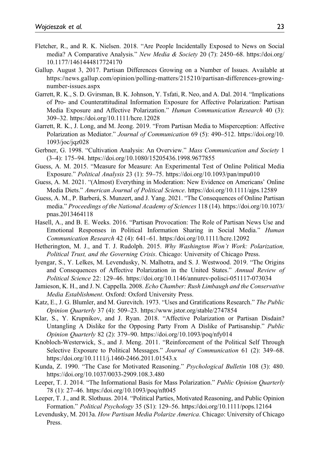- Fletcher, R., and R. K. Nielsen. 2018. "Are People Incidentally Exposed to News on Social media? A Comparative Analysis." *New Media & Society* 20 (7): 2450–68. https://doi.org/ 10.1177/1461444817724170
- Gallup. August 3, 2017. Partisan Differences Growing on a Number of Issues. Available at https://news.gallup.com/opinion/polling-matters/215210/partisan-differences-growingnumber-issues.aspx
- Garrett, R. K., S. D. Gvirsman, B. K. Johnson, Y. Tsfati, R. Neo, and A. Dal. 2014. "Implications of Pro- and Counterattitudinal Information Exposure for Affective Polarization: Partisan Media Exposure and Affective Polarization." *Human Communication Research* 40 (3): 309–32. https://doi.org/10.1111/hcre.12028
- Garrett, R. K., J. Long, and M. Jeong. 2019. "From Partisan Media to Misperception: Affective Polarization as Mediator." *Journal of Communication* 69 (5): 490–512. https://doi.org/10. 1093/joc/jqz028
- Gerbner, G. 1998. "Cultivation Analysis: An Overview." *Mass Communication and Society* 1 (3–4): 175–94. https://doi.org/10.1080/15205436.1998.9677855
- Guess, A. M. 2015. "Measure for Measure: An Experimental Test of Online Political Media Exposure." *Political Analysis* 23 (1): 59–75. https://doi.org/10.1093/pan/mpu010
- Guess, A. M. 2021. "(Almost) Everything in Moderation: New Evidence on Americans' Online Media Diets." *American Journal of Political Science*. https://doi.org/10.1111/ajps.12589
- Guess, A. M., P. Barberá, S. Munzert, and J. Yang. 2021. "The Consequences of Online Partisan media." *Proceedings of the National Academy of Sciences* 118 (14). https://doi.org/10.1073/ pnas.2013464118
- Hasell, A., and B. E. Weeks. 2016. "Partisan Provocation: The Role of Partisan News Use and Emotional Responses in Political Information Sharing in Social Media." *Human Communication Research* 42 (4): 641–61. https://doi.org/10.1111/hcre.12092
- Hetherington, M. J., and T. J. Rudolph. 2015. *Why Washington Won*'*t Work: Polarization, Political Trust, and the Governing Crisis*. Chicago: University of Chicago Press.
- Iyengar, S., Y. Lelkes, M. Levendusky, N. Malhotra, and S. J. Westwood. 2019. "The Origins and Consequences of Affective Polarization in the United States." *Annual Review of Political Science* 22: 129–46. https://doi.org/10.1146/annurev-polisci-051117-073034
- Jamieson, K. H., and J. N. Cappella. 2008. *Echo Chamber: Rush Limbaugh and the Conservative Media Establishment*. Oxford: Oxford University Press.
- Katz, E., J. G. Blumler, and M. Gurevitch. 1973. "Uses and Gratifications Research." *The Public Opinion Quarterly* 37 (4): 509–23. https://www.jstor.org/stable/2747854
- Klar, S., Y. Krupnikov, and J. Ryan. 2018. "Affective Polarization or Partisan Disdain? Untangling A Dislike for the Opposing Party From A Dislike of Partisanship." *Public Opinion Quarterly* 82 (2): 379–90. https://doi.org/10.1093/poq/nfy014
- Knobloch-Westerwick, S., and J. Meng. 2011. "Reinforcement of the Political Self Through Selective Exposure to Political Messages." *Journal of Communication* 61 (2): 349–68. https://doi.org/10.1111/j.1460-2466.2011.01543.x
- Kunda, Z. 1990. "The Case for Motivated Reasoning." *Psychological Bulletin* 108 (3): 480. https://doi.org/10.1037/0033-2909.108.3.480
- Leeper, T. J. 2014. "The Informational Basis for Mass Polarization." *Public Opinion Quarterly* 78 (1): 27–46. https://doi.org/10.1093/poq/nft045
- Leeper, T. J., and R. Slothuus. 2014. "Political Parties, Motivated Reasoning, and Public Opinion Formation." *Political Psychology* 35 (S1): 129–56. https://doi.org/10.1111/pops.12164
- Levendusky, M. 2013a. *How Partisan Media Polarize America*. Chicago: University of Chicago Press.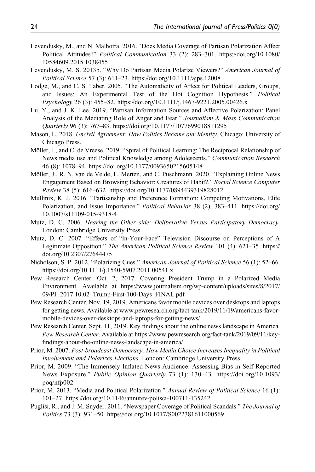- Levendusky, M., and N. Malhotra. 2016. "Does Media Coverage of Partisan Polarization Affect Political Attitudes?" *Political Communication* 33 (2): 283–301. https://doi.org/10.1080/ 10584609.2015.1038455
- Levendusky, M. S. 2013b. "Why Do Partisan Media Polarize Viewers?" *American Journal of Political Science* 57 (3): 611–23. https://doi.org/10.1111/ajps.12008
- Lodge, M., and C. S. Taber. 2005. "The Automaticity of Affect for Political Leaders, Groups, and Issues: An Experimental Test of the Hot Cognition Hypothesis." *Political Psychology* 26 (3): 455–82. https://doi.org/10.1111/j.1467-9221.2005.00426.x
- Lu, Y., and J. K. Lee. 2019. "Partisan Information Sources and Affective Polarization: Panel Analysis of the Mediating Role of Anger and Fear." *Journalism & Mass Communication Quarterly* 96 (3): 767–83. https://doi.org/10.1177/1077699018811295
- Mason, L. 2018. *Uncivil Agreement: How Politics Became our Identity*. Chicago: University of Chicago Press.
- Möller, J., and C. de Vreese. 2019. "Spiral of Political Learning: The Reciprocal Relationship of News media use and Political Knowledge among Adolescents." *Communication Research* 46 (8): 1078–94. https://doi.org/10.1177/0093650215605148
- Möller, J., R. N. van de Velde, L. Merten, and C. Puschmann. 2020. "Explaining Online News Engagement Based on Browsing Behavior: Creatures of Habit?." *Social Science Computer Review* 38 (5): 616–632. https://doi.org/10.1177/0894439319828012
- Mullinix, K. J. 2016. "Partisanship and Preference Formation: Competing Motivations, Elite Polarization, and Issue Importance." *Political Behavior* 38 (2): 383–411. https://doi.org/ 10.1007/s11109-015-9318-4
- Mutz, D. C. 2006. *Hearing the Other side: Deliberative Versus Participatory Democracy*. London: Cambridge University Press.
- Mutz, D. C. 2007. "Effects of "In-Your-Face" Television Discourse on Perceptions of A Legitimate Opposition." *The American Political Science Review* 101 (4): 621–35. https:// doi.org/10.2307/27644475
- Nicholson, S. P. 2012. "Polarizing Cues." *American Journal of Political Science* 56 (1): 52–66. https://doi.org/10.1111/j.1540-5907.2011.00541.x
- Pew Research Center. Oct. 2, 2017. Covering President Trump in a Polarized Media Environment. Available at https://www.journalism.org/wp-content/uploads/sites/8/2017/ 09/PJ\_2017.10.02\_Trump-First-100-Days\_FINAL.pdf
- Pew Research Center. Nov. 19, 2019. Americans favor mobile devices over desktops and laptops for getting news. Available at www.pewresearch.org/fact-tank/2019/11/19/americans-favormobile-devices-over-desktops-and-laptops-for-getting-news/
- Pew Research Center. Sept. 11, 2019. Key findings about the online news landscape in America. *Pew Research Center*. Available at https://www.pewresearch.org/fact-tank/2019/09/11/keyfindings-about-the-online-news-landscape-in-america/
- Prior, M. 2007. *Post-broadcast Democracy: How Media Choice Increases Inequality in Political Involvement and Polarizes Elections*. London: Cambridge University Press.
- Prior, M. 2009. "The Immensely Inflated News Audience: Assessing Bias in Self-Reported News Exposure." *Public Opinion Quarterly* 73 (1): 130–43. https://doi.org/10.1093/ poq/nfp002
- Prior, M. 2013. "Media and Political Polarization." *Annual Review of Political Science* 16 (1): 101–27. https://doi.org/10.1146/annurev-polisci-100711-135242
- Puglisi, R., and J. M. Snyder. 2011. "Newspaper Coverage of Political Scandals." *The Journal of Politics* 73 (3): 931–50. https://doi.org/10.1017/S0022381611000569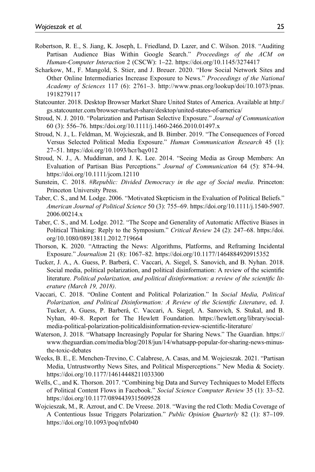- Robertson, R. E., S. Jiang, K. Joseph, L. Friedland, D. Lazer, and C. Wilson. 2018. "Auditing Partisan Audience Bias Within Google Search." *Proceedings of the ACM on Human-Computer Interaction* 2 (CSCW): 1–22. https://doi.org/10.1145/3274417
- Scharkow, M., F. Mangold, S. Stier, and J. Breuer. 2020. "How Social Network Sites and Other Online Intermediaries Increase Exposure to News." *Proceedings of the National Academy of Sciences* 117 (6): 2761–3. http://www.pnas.org/lookup/doi/10.1073/pnas. 1918279117
- Statcounter. 2018. Desktop Browser Market Share United States of America. Available at http:// gs.statcounter.com/browser-market-share/desktop/united-states-of-america/
- Stroud, N. J. 2010. "Polarization and Partisan Selective Exposure." *Journal of Communication* 60 (3): 556–76. https://doi.org/10.1111/j.1460-2466.2010.01497.x
- Stroud, N. J., L. Feldman, M. Wojcieszak, and B. Bimber. 2019. "The Consequences of Forced Versus Selected Political Media Exposure." *Human Communication Research* 45 (1): 27–51. https://doi.org/10.1093/hcr/hqy012
- Stroud, N. J., A. Muddiman, and J. K. Lee. 2014. "Seeing Media as Group Members: An Evaluation of Partisan Bias Perceptions." *Journal of Communication* 64 (5): 874–94. https://doi.org/10.1111/jcom.12110
- Sunstein, C. 2018. *#Republic: Divided Democracy in the age of Social media*. Princeton: Princeton University Press.
- Taber, C. S., and M. Lodge. 2006. "Motivated Skepticism in the Evaluation of Political Beliefs." *American Journal of Political Science* 50 (3): 755–69. https://doi.org/10.1111/j.1540-5907. 2006.00214.x
- Taber, C. S., and M. Lodge. 2012. "The Scope and Generality of Automatic Affective Biases in Political Thinking: Reply to the Symposium." *Critical Review* 24 (2): 247–68. https://doi. org/10.1080/08913811.2012.719664
- Thorson, K. 2020. "Attracting the News: Algorithms, Platforms, and Reframing Incidental Exposure." *Journalism* 21 (8): 1067–82. https://doi.org/10.1177/1464884920915352
- Tucker, J. A., A. Guess, P. Barberá, C. Vaccari, A. Siegel, S. Sanovich, and B. Nyhan. 2018. Social media, political polarization, and political disinformation: A review of the scientific literature. Political polarization, and political disinformation: a review of the scientific lit*erature (March 19, 2018)*.
- Vaccari, C. 2018. "Online Content and Political Polarization." In *Social Media, Political Polarization, and Political Disinformation: A Review of the Scienti*fi*c Literature*, ed. J. Tucker, A. Guess, P. Barberá, C. Vaccari, A. Siegel, A. Sanovich, S. Stukal, and B. Nyhan, 40–8. Report for The Hewlett Foundation. https://hewlett.org/library/socialmedia-political-polarization-politicaldisinformation-review-scientific-literature/
- Waterson, J. 2018. "Whatsapp Increasingly Popular for Sharing News." The Guardian. https:// www.theguardian.com/media/blog/2018/jun/14/whatsapp-popular-for-sharing-news-minusthe-toxic-debates
- Weeks, B. E., E. Menchen-Trevino, C. Calabrese, A. Casas, and M. Wojcieszak. 2021. "Partisan Media, Untrustworthy News Sites, and Political Misperceptions." New Media & Society. https://doi.org/10.1177/14614448211033300
- Wells, C., and K. Thorson. 2017. "Combining big Data and Survey Techniques to Model Effects of Political Content Flows in Facebook." *Social Science Computer Review* 35 (1): 33–52. https://doi.org/10.1177/0894439315609528
- Wojcieszak, M., R. Azrout, and C. De Vreese. 2018. "Waving the red Cloth: Media Coverage of A Contentious Issue Triggers Polarization." *Public Opinion Quarterly* 82 (1): 87–109. https://doi.org/10.1093/poq/nfx040